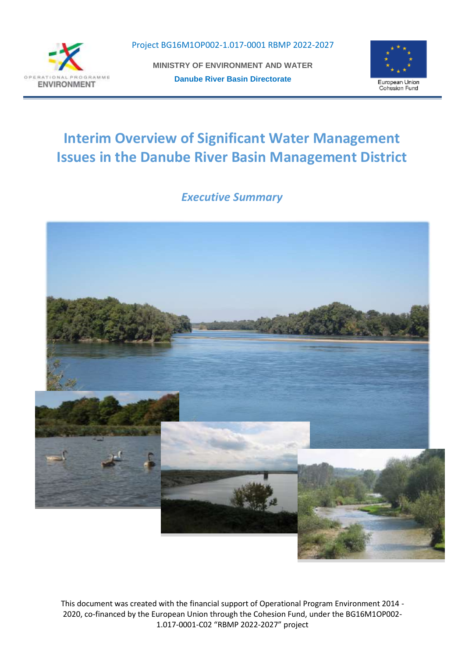

Project BG16M1OP002-1.017-0001 RBMP 2022-2027

**MINISTRY OF ENVIRONMENT AND WATER Danube River Basin Directorate** 



# **Interim Overview of Significant Water Management Issues in the Danube River Basin Management District**

*Executive Summary*



This document was created with the financial support of Operational Program Environment 2014 - 2020, co-financed by the European Union through the Cohesion Fund, under the BG16M1OP002- 1.017-0001-C02 "RBMP 2022-2027" project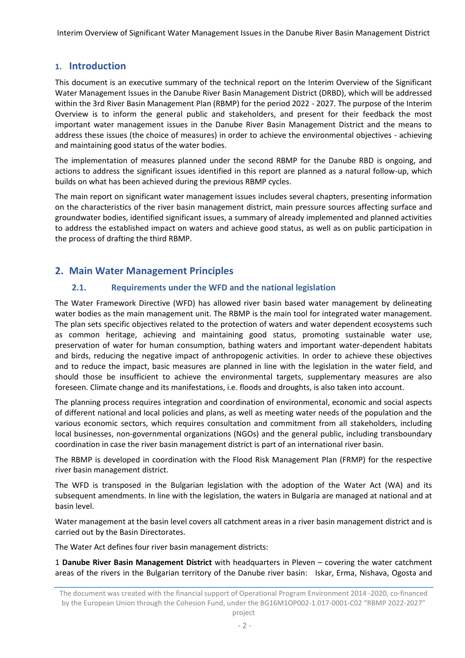## **1. Introduction**

This document is an executive summary of the technical report on the Interim Overview of the Significant Water Management Issues in the Danube River Basin Management District (DRBD), which will be addressed within the 3rd River Basin Management Plan (RBMP) for the period 2022 - 2027. The purpose of the Interim Overview is to inform the general public and stakeholders, and present for their feedback the most important water management issues in the Danube River Basin Management District and the means to address these issues (the choice of measures) in order to achieve the environmental objectives - achieving and maintaining good status of the water bodies.

The implementation of measures planned under the second RBMP for the Danube RBD is ongoing, and actions to address the significant issues identified in this report are planned as a natural follow-up, which builds on what has been achieved during the previous RBMP cycles.

The main report on significant water management issues includes several chapters, presenting information on the characteristics of the river basin management district, main pressure sources affecting surface and groundwater bodies, identified significant issues, a summary of already implemented and planned activities to address the established impact on waters and achieve good status, as well as on public participation in the process of drafting the third RBMP.

# **2. Main Water Management Principles**

## **2.1. Requirements under the WFD and the national legislation**

The Water Framework Directive (WFD) has allowed river basin based water management by delineating water bodies as the main management unit. The RBMP is the main tool for integrated water management. The plan sets specific objectives related to the protection of waters and water dependent ecosystems such as common heritage, achieving and maintaining good status, promoting sustainable water use, preservation of water for human consumption, bathing waters and important water-dependent habitats and birds, reducing the negative impact of anthropogenic activities. In order to achieve these objectives and to reduce the impact, basic measures are planned in line with the legislation in the water field, and should those be insufficient to achieve the environmental targets, supplementary measures are also foreseen. Climate change and its manifestations, i.e. floods and droughts, is also taken into account.

The planning process requires integration and coordination of environmental, economic and social aspects of different national and local policies and plans, as well as meeting water needs of the population and the various economic sectors, which requires consultation and commitment from all stakeholders, including local businesses, non-governmental organizations (NGOs) and the general public, including transboundary coordination in case the river basin management district is part of an international river basin.

The RBMP is developed in coordination with the Flood Risk Management Plan (FRMP) for the respective river basin management district.

The WFD is transposed in the Bulgarian legislation with the adoption of the Water Act (WA) and its subsequent amendments. In line with the legislation, the waters in Bulgaria are managed at national and at basin level.

Water management at the basin level covers all catchment areas in a river basin management district and is carried out by the Basin Directorates.

The Water Act defines four river basin management districts:

1 **Danube River Basin Management District** with headquarters in Pleven – covering the water catchment areas of the rivers in the Bulgarian territory of the Danube river basin: Iskar, Erma, Nishava, Ogosta and

The document was created with the financial support of Operational Program Environment 2014 -2020, co-financed by the European Union through the Cohesion Fund, under the BG16M1OP002-1.017-0001-C02 "RBMP 2022-2027"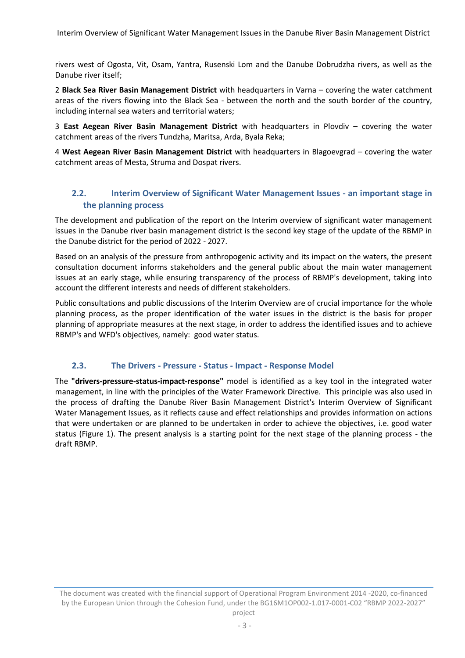rivers west of Ogosta, Vit, Osam, Yantra, Rusenski Lom and the Danube Dobrudzha rivers, as well as the Danube river itself;

2 **Black Sea River Basin Management District** with headquarters in Varna – covering the water catchment areas of the rivers flowing into the Black Sea - between the north and the south border of the country, including internal sea waters and territorial waters;

3 **East Aegean River Basin Management District** with headquarters in Plovdiv – covering the water catchment areas of the rivers Tundzha, Maritsa, Arda, Byala Reka;

4 **West Aegean River Basin Management District** with headquarters in Blagoevgrad – covering the water catchment areas of Mesta, Struma and Dospat rivers.

# **2.2. Interim Overview of Significant Water Management Issues - an important stage in the planning process**

The development and publication of the report on the Interim overview of significant water management issues in the Danube river basin management district is the second key stage of the update of the RBMP in the Danube district for the period of 2022 - 2027.

Based on an analysis of the pressure from anthropogenic activity and its impact on the waters, the present consultation document informs stakeholders and the general public about the main water management issues at an early stage, while ensuring transparency of the process of RBMP's development, taking into account the different interests and needs of different stakeholders.

Public consultations and public discussions of the Interim Overview are of crucial importance for the whole planning process, as the proper identification of the water issues in the district is the basis for proper planning of appropriate measures at the next stage, in order to address the identified issues and to achieve RBMP's and WFD's objectives, namely: good water status.

#### **2.3. The Drivers - Pressure - Status - Impact - Response Model**

The **"drivers-pressure-status-impact-response"** model is identified as a key tool in the integrated water management, in line with the principles of the Water Framework Directive. This principle was also used in the process of drafting the Danube River Basin Management District's Interim Overview of Significant Water Management Issues, as it reflects cause and effect relationships and provides information on actions that were undertaken or are planned to be undertaken in order to achieve the objectives, i.e. good water status (Figure 1). The present analysis is a starting point for the next stage of the planning process - the draft RBMP.

The document was created with the financial support of Operational Program Environment 2014 -2020, co-financed by the European Union through the Cohesion Fund, under the BG16M1OP002-1.017-0001-C02 "RBMP 2022-2027" project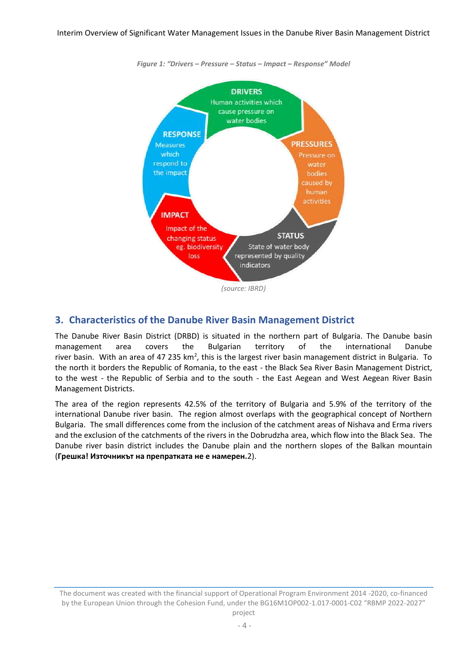



## **3. Characteristics of the Danube River Basin Management District**

The Danube River Basin District (DRBD) is situated in the northern part of Bulgaria. The Danube basin management area covers the Bulgarian territory of the international Danube river basin. With an area of 47 235 km<sup>2</sup>, this is the largest river basin management district in Bulgaria. To the north it borders the Republic of Romania, to the east - the Black Sea River Basin Management District, to the west - the Republic of Serbia and to the south - the East Aegean and West Aegean River Basin Management Districts.

The area of the region represents 42.5% of the territory of Bulgaria and 5.9% of the territory of the international Danube river basin. The region almost overlaps with the geographical concept of Northern Bulgaria. The small differences come from the inclusion of the catchment areas of Nishava and Erma rivers and the exclusion of the catchments of the rivers in the Dobrudzha area, which flow into the Black Sea. The Danube river basin district includes the Danube plain and the northern slopes of the Balkan mountain (**Грешка! Източникът на препратката не е намерен.**2).

The document was created with the financial support of Operational Program Environment 2014 -2020, co-financed by the European Union through the Cohesion Fund, under the BG16M1OP002-1.017-0001-C02 "RBMP 2022-2027" project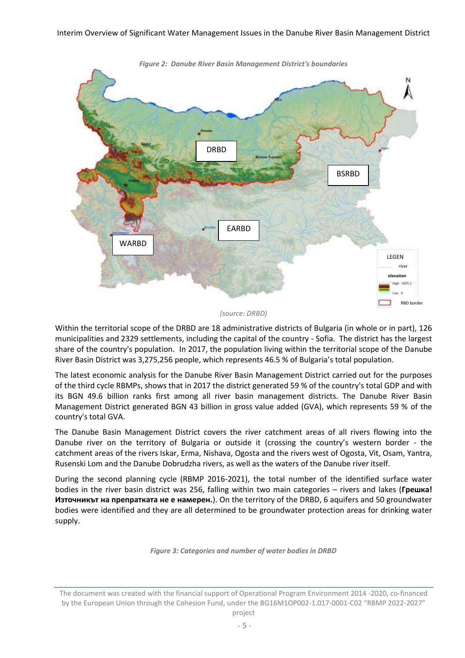

*Figure 2: Danube River Basin Management District's boundaries* 

Within the territorial scope of the DRBD are 18 administrative districts of Bulgaria (in whole or in part), 126 municipalities and 2329 settlements, including the capital of the country - Sofia. The district has the largest share of the country's population. In 2017, the population living within the territorial scope of the Danube River Basin District was 3,275,256 people, which represents 46.5 % of Bulgaria's total population.

The latest economic analysis for the Danube River Basin Management District carried out for the purposes of the third cycle RBMPs, shows that in 2017 the district generated 59 % of the country's total GDP and with its BGN 49.6 billion ranks first among all river basin management districts. The Danube River Basin Management District generated BGN 43 billion in gross value added (GVA), which represents 59 % of the country's total GVA.

The Danube Basin Management District covers the river catchment areas of all rivers flowing into the Danube river on the territory of Bulgaria or outside it (crossing the country's western border - the catchment areas of the rivers Iskar, Erma, Nishava, Ogosta and the rivers west of Ogosta, Vit, Osam, Yantra, Rusenski Lom and the Danube Dobrudzha rivers, as well as the waters of the Danube river itself.

During the second planning cycle (RBMP 2016-2021), the total number of the identified surface water bodies in the river basin district was 256, falling within two main categories – rivers and lakes (**Грешка! Източникът на препратката не е намерен.**). On the territory of the DRBD, 6 aquifers and 50 groundwater bodies were identified and they are all determined to be groundwater protection areas for drinking water supply.

*Figure 3: Categories and number of water bodies in DRBD*

*<sup>(</sup>source: DRBD)*

The document was created with the financial support of Operational Program Environment 2014 -2020, co-financed by the European Union through the Cohesion Fund, under the BG16M1OP002-1.017-0001-C02 "RBMP 2022-2027"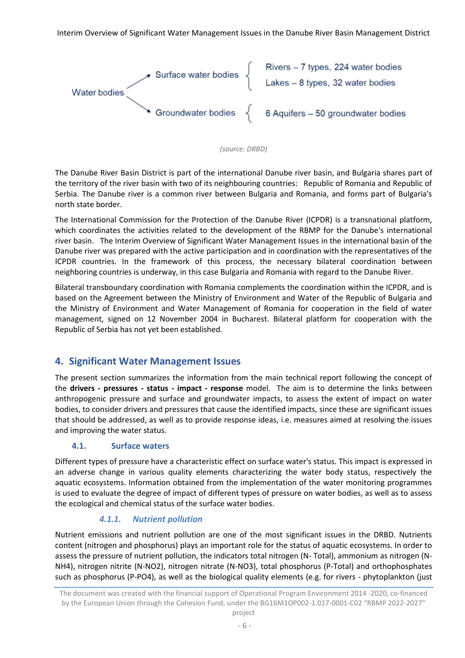

*(source: DRBD)*

The Danube River Basin District is part of the international Danube river basin, and Bulgaria shares part of the territory of the river basin with two of its neighbouring countries: Republic of Romania and Republic of Serbia. The Danube river is a common river between Bulgaria and Romania, and forms part of Bulgaria's north state border.

The International Commission for the Protection of the Danube River (ICPDR) is a transnational platform, which coordinates the activities related to the development of the RBMP for the Danube's international river basin. The Interim Overview of Significant Water Management Issues in the international basin of the Danube river was prepared with the active participation and in coordination with the representatives of the ICPDR countries. In the framework of this process, the necessary bilateral coordination between neighboring countries is underway, in this case Bulgaria and Romania with regard to the Danube River.

Bilateral transboundary coordination with Romania complements the coordination within the ICPDR, and is based on the Agreement between the Ministry of Environment and Water of the Republic of Bulgaria and the Ministry of Environment and Water Management of Romania for cooperation in the field of water management, signed on 12 November 2004 in Bucharest. Bilateral platform for cooperation with the Republic of Serbia has not yet been established.

## **4. Significant Water Management Issues**

The present section summarizes the information from the main technical report following the concept of the **drivers - pressures - status - impact - response** model. The aim is to determine the links between anthropogenic pressure and surface and groundwater impacts, to assess the extent of impact on water bodies, to consider drivers and pressures that cause the identified impacts, since these are significant issues that should be addressed, as well as to provide response ideas, i.e. measures aimed at resolving the issues and improving the water status.

#### **4.1. Surface waters**

Different types of pressure have a characteristic effect on surface water's status. This impact is expressed in an adverse change in various quality elements characterizing the water body status, respectively the aquatic ecosystems. Information obtained from the implementation of the water monitoring programmes is used to evaluate the degree of impact of different types of pressure on water bodies, as well as to assess the ecological and chemical status of the surface water bodies.

#### *4.1.1. Nutrient pollution*

Nutrient emissions and nutrient pollution are one of the most significant issues in the DRBD. Nutrients content (nitrogen and phosphorus) plays an important role for the status of aquatic ecosystems. In order to assess the pressure of nutrient pollution, the indicators total nitrogen (N- Total), ammonium as nitrogen (N-NH4), nitrogen nitrite (N-NO2), nitrogen nitrate (N-NO3), total phosphorus (P-Total) and orthophosphates such as phosphorus (P-PO4), as well as the biological quality elements (e.g. for rivers - phytoplankton (just

The document was created with the financial support of Operational Program Environment 2014 -2020, co-financed by the European Union through the Cohesion Fund, under the BG16M1OP002-1.017-0001-C02 "RBMP 2022-2027"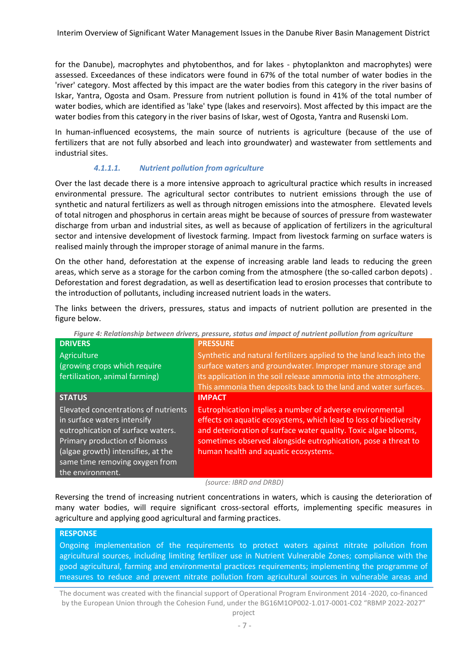for the Danube), macrophytes and phytobenthos, and for lakes - phytoplankton and macrophytes) were assessed. Exceedances of these indicators were found in 67% of the total number of water bodies in the 'river' category. Most affected by this impact are the water bodies from this category in the river basins of Iskar, Yantra, Ogosta and Osam. Pressure from nutrient pollution is found in 41% of the total number of water bodies, which are identified as 'lake' type (lakes and reservoirs). Most affected by this impact are the water bodies from this category in the river basins of Iskar, west of Ogosta, Yantra and Rusenski Lom.

In human-influenced ecosystems, the main source of nutrients is agriculture (because of the use of fertilizers that are not fully absorbed and leach into groundwater) and wastewater from settlements and industrial sites.

## *4.1.1.1. Nutrient pollution from agriculture*

Over the last decade there is a more intensive approach to agricultural practice which results in increased environmental pressure. The agricultural sector contributes to nutrient emissions through the use of synthetic and natural fertilizers as well as through nitrogen emissions into the atmosphere. Elevated levels of total nitrogen and phosphorus in certain areas might be because of sources of pressure from wastewater discharge from urban and industrial sites, as well as because of application of fertilizers in the agricultural sector and intensive development of livestock farming. Impact from livestock farming on surface waters is realised mainly through the improper storage of animal manure in the farms.

On the other hand, deforestation at the expense of increasing arable land leads to reducing the green areas, which serve as a storage for the carbon coming from the atmosphere (the so-called carbon depots) . Deforestation and forest degradation, as well as desertification lead to erosion processes that contribute to the introduction of pollutants, including increased nutrient loads in the waters.

The links between the drivers, pressures, status and impacts of nutrient pollution are presented in the figure below.

| <b>DRIVERS</b>                                                                                                                                                                                                                        | <b>PRESSURE</b>                                                                                                                                                                                                                                                                                           |
|---------------------------------------------------------------------------------------------------------------------------------------------------------------------------------------------------------------------------------------|-----------------------------------------------------------------------------------------------------------------------------------------------------------------------------------------------------------------------------------------------------------------------------------------------------------|
| Agriculture<br>(growing crops which require                                                                                                                                                                                           | Synthetic and natural fertilizers applied to the land leach into the<br>surface waters and groundwater. Improper manure storage and                                                                                                                                                                       |
| fertilization, animal farming)                                                                                                                                                                                                        | its application in the soil release ammonia into the atmosphere.<br>This ammonia then deposits back to the land and water surfaces.                                                                                                                                                                       |
| <b>STATUS</b>                                                                                                                                                                                                                         | <b>IMPACT</b>                                                                                                                                                                                                                                                                                             |
| Elevated concentrations of nutrients<br>in surface waters intensify<br>eutrophication of surface waters.<br>Primary production of biomass<br>(algae growth) intensifies, at the<br>same time removing oxygen from<br>the environment. | Eutrophication implies a number of adverse environmental<br>effects on aquatic ecosystems, which lead to loss of biodiversity<br>and deterioration of surface water quality. Toxic algae blooms,<br>sometimes observed alongside eutrophication, pose a threat to<br>human health and aquatic ecosystems. |

*Figure 4: Relationship between drivers, pressure, status and impact of nutrient pollution from agriculture* 

#### *(source: IBRD and DRBD)*

Reversing the trend of increasing nutrient concentrations in waters, which is causing the deterioration of many water bodies, will require significant cross-sectoral efforts, implementing specific measures in agriculture and applying good agricultural and farming practices.

#### **RESPONSE**

Ongoing implementation of the requirements to protect waters against nitrate pollution from agricultural sources, including limiting fertilizer use in Nutrient Vulnerable Zones; compliance with the good agricultural, farming and environmental practices requirements; implementing the programme of measures to reduce and prevent nitrate pollution from agricultural sources in vulnerable areas and

The document was created with the financial support of Operational Program Environment 2014 -2020, co-financed by the European Union through the Cohesion Fund, under the BG16M1OP002-1.017-0001-C02 "RBMP 2022-2027"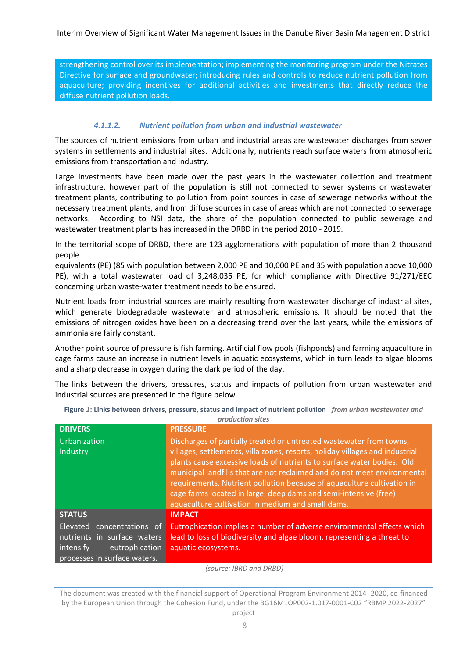strengthening control over its implementation; implementing the monitoring program under the Nitrates Directive for surface and groundwater; introducing rules and controls to reduce nutrient pollution from aquaculture; providing incentives for additional activities and investments that directly reduce the diffuse nutrient pollution loads.

#### *4.1.1.2. Nutrient pollution from urban and industrial wastewater*

The sources of nutrient emissions from urban and industrial areas are wastewater discharges from sewer systems in settlements and industrial sites. Additionally, nutrients reach surface waters from atmospheric emissions from transportation and industry.

Large investments have been made over the past years in the wastewater collection and treatment infrastructure, however part of the population is still not connected to sewer systems or wastewater treatment plants, contributing to pollution from point sources in case of sewerage networks without the necessary treatment plants, and from diffuse sources in case of areas which are not connected to sewerage networks. According to NSI data, the share of the population connected to public sewerage and wastewater treatment plants has increased in the DRBD in the period 2010 - 2019.

In the territorial scope of DRBD, there are 123 agglomerations with population of more than 2 thousand people

equivalents (PE) (85 with population between 2,000 PE and 10,000 PE and 35 with population above 10,000 PE), with a total wastewater load of 3,248,035 PE, for which compliance with Directive 91/271/EEC concerning urban waste-water treatment needs to be ensured.

Nutrient loads from industrial sources are mainly resulting from wastewater discharge of industrial sites, which generate biodegradable wastewater and atmospheric emissions. It should be noted that the emissions of nitrogen oxides have been on a decreasing trend over the last years, while the emissions of ammonia are fairly constant.

Another point source of pressure is fish farming. Artificial flow pools (fishponds) and farming aquaculture in cage farms cause an increase in nutrient levels in aquatic ecosystems, which in turn leads to algae blooms and a sharp decrease in oxygen during the dark period of the day.

The links between the drivers, pressures, status and impacts of pollution from urban wastewater and industrial sources are presented in the figure below.

**Figure** *1***: Links between drivers, pressure, status and impact of nutrient pollution** *from urban wastewater and production sites* 

| <b>DRIVERS</b>                                                                                                           | <b>PRESSURE</b>                                                                                                                                                                                                                                                                                                                                                                                                                                                                                              |
|--------------------------------------------------------------------------------------------------------------------------|--------------------------------------------------------------------------------------------------------------------------------------------------------------------------------------------------------------------------------------------------------------------------------------------------------------------------------------------------------------------------------------------------------------------------------------------------------------------------------------------------------------|
| <b>Urbanization</b><br>Industry                                                                                          | Discharges of partially treated or untreated wastewater from towns,<br>villages, settlements, villa zones, resorts, holiday villages and industrial<br>plants cause excessive loads of nutrients to surface water bodies. Old<br>municipal landfills that are not reclaimed and do not meet environmental<br>requirements. Nutrient pollution because of aquaculture cultivation in<br>cage farms located in large, deep dams and semi-intensive (free)<br>aquaculture cultivation in medium and small dams. |
| <b>STATUS</b>                                                                                                            | <b>IMPACT</b>                                                                                                                                                                                                                                                                                                                                                                                                                                                                                                |
| Elevated concentrations of<br>nutrients in surface waters<br>eutrophication<br>intensify<br>processes in surface waters. | Eutrophication implies a number of adverse environmental effects which<br>lead to loss of biodiversity and algae bloom, representing a threat to<br>aquatic ecosystems.                                                                                                                                                                                                                                                                                                                                      |

*(source: IBRD and DRBD)*

The document was created with the financial support of Operational Program Environment 2014 -2020, co-financed by the European Union through the Cohesion Fund, under the BG16M1OP002-1.017-0001-C02 "RBMP 2022-2027"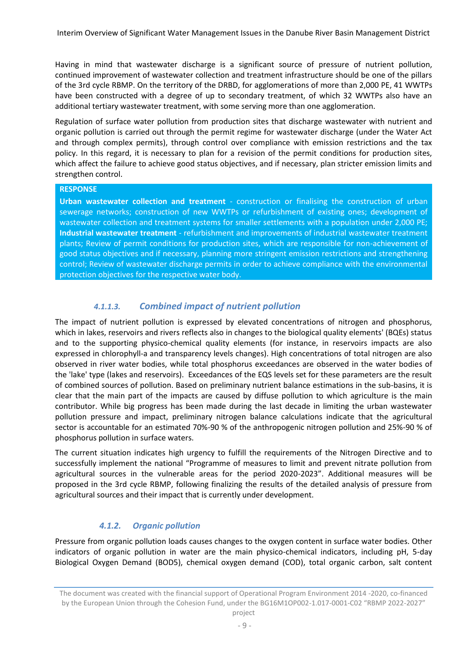Having in mind that wastewater discharge is a significant source of pressure of nutrient pollution, continued improvement of wastewater collection and treatment infrastructure should be one of the pillars of the 3rd cycle RBMP. On the territory of the DRBD, for agglomerations of more than 2,000 PE, 41 WWTPs have been constructed with a degree of up to secondary treatment, of which 32 WWTPs also have an additional tertiary wastewater treatment, with some serving more than one agglomeration.

Regulation of surface water pollution from production sites that discharge wastewater with nutrient and organic pollution is carried out through the permit regime for wastewater discharge (under the Water Act and through complex permits), through control over compliance with emission restrictions and the tax policy. In this regard, it is necessary to plan for a revision of the permit conditions for production sites, which affect the failure to achieve good status objectives, and if necessary, plan stricter emission limits and strengthen control.

#### **RESPONSE**

**Urban wastewater collection and treatment** - construction or finalising the construction of urban sewerage networks; construction of new WWTPs or refurbishment of existing ones; development of wastewater collection and treatment systems for smaller settlements with a population under 2,000 PE; **Industrial wastewater treatment** - refurbishment and improvements of industrial wastewater treatment plants; Review of permit conditions for production sites, which are responsible for non-achievement of good status objectives and if necessary, planning more stringent emission restrictions and strengthening control; Review of wastewater discharge permits in order to achieve compliance with the environmental protection objectives for the respective water body.

## *4.1.1.3. Combined impact of nutrient pollution*

The impact of nutrient pollution is expressed by elevated concentrations of nitrogen and phosphorus, which in lakes, reservoirs and rivers reflects also in changes to the biological quality elements' (BQEs) status and to the supporting physico-chemical quality elements (for instance, in reservoirs impacts are also expressed in chlorophyll-a and transparency levels changes). High concentrations of total nitrogen are also observed in river water bodies, while total phosphorus exceedances are observed in the water bodies of the 'lake' type (lakes and reservoirs). Exceedances of the EQS levels set for these parameters are the result of combined sources of pollution. Based on preliminary nutrient balance estimations in the sub-basins, it is clear that the main part of the impacts are caused by diffuse pollution to which agriculture is the main contributor. While big progress has been made during the last decade in limiting the urban wastewater pollution pressure and impact, preliminary nitrogen balance calculations indicate that the agricultural sector is accountable for an estimated 70%-90 % of the anthropogenic nitrogen pollution and 25%-90 % of phosphorus pollution in surface waters.

The current situation indicates high urgency to fulfill the requirements of the Nitrogen Directive and to successfully implement the national "Programme of measures to limit and prevent nitrate pollution from agricultural sources in the vulnerable areas for the period 2020-2023". Additional measures will be proposed in the 3rd cycle RBMP, following finalizing the results of the detailed analysis of pressure from agricultural sources and their impact that is currently under development.

#### *4.1.2. Organic pollution*

Pressure from organic pollution loads causes changes to the oxygen content in surface water bodies. Other indicators of organic pollution in water are the main physico-chemical indicators, including pH, 5-day Biological Oxygen Demand (BOD5), chemical oxygen demand (COD), total organic carbon, salt content

The document was created with the financial support of Operational Program Environment 2014 -2020, co-financed by the European Union through the Cohesion Fund, under the BG16M1OP002-1.017-0001-C02 "RBMP 2022-2027"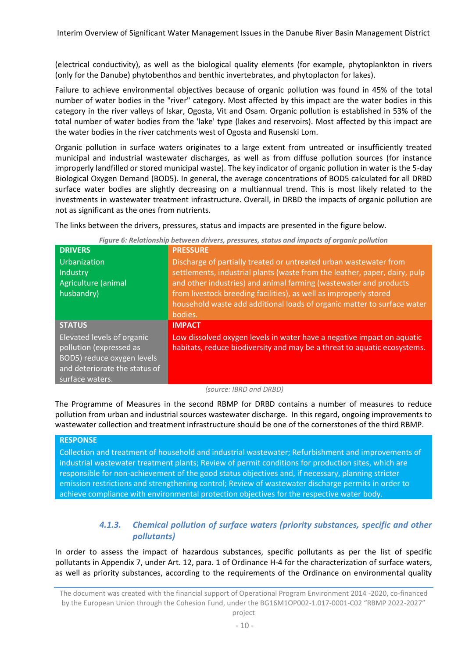(electrical conductivity), as well as the biological quality elements (for example, phytoplankton in rivers (only for the Danube) phytobenthos and benthic invertebrates, and phytoplacton for lakes).

Failure to achieve environmental objectives because of organic pollution was found in 45% of the total number of water bodies in the "river" category. Most affected by this impact are the water bodies in this category in the river valleys of Iskar, Ogosta, Vit and Osam. Organic pollution is established in 53% of the total number of water bodies from the 'lake' type (lakes and reservoirs). Most affected by this impact are the water bodies in the river catchments west of Ogosta and Rusenski Lom.

Organic pollution in surface waters originates to a large extent from untreated or insufficiently treated municipal and industrial wastewater discharges, as well as from diffuse pollution sources (for instance improperly landfilled or stored municipal waste). The key indicator of organic pollution in water is the 5-day Biological Oxygen Demand (BOD5). In general, the average concentrations of BOD5 calculated for all DRBD surface water bodies are slightly decreasing on a multiannual trend. This is most likely related to the investments in wastewater treatment infrastructure. Overall, in DRBD the impacts of organic pollution are not as significant as the ones from nutrients.

The links between the drivers, pressures, status and impacts are presented in the figure below.

| <u>Figure 6. Nefutionship between urivers, pressures, stutus unu imputts of organic ponution</u> |                                                                            |
|--------------------------------------------------------------------------------------------------|----------------------------------------------------------------------------|
| <b>DRIVERS</b>                                                                                   | <b>PRESSURE</b>                                                            |
| <b>Urbanization</b>                                                                              | Discharge of partially treated or untreated urban wastewater from          |
| Industry                                                                                         | settlements, industrial plants (waste from the leather, paper, dairy, pulp |
| Agriculture (animal                                                                              | and other industries) and animal farming (wastewater and products          |
| husbandry)                                                                                       | from livestock breeding facilities), as well as improperly stored          |
|                                                                                                  | household waste add additional loads of organic matter to surface water    |
|                                                                                                  | bodies.                                                                    |
| <b>STATUS</b>                                                                                    | <b>IMPACT</b>                                                              |
| Elevated levels of organic                                                                       | Low dissolved oxygen levels in water have a negative impact on aquatic     |
| pollution (expressed as                                                                          | habitats, reduce biodiversity and may be a threat to aquatic ecosystems.   |
| BOD5) reduce oxygen levels                                                                       |                                                                            |
| and deteriorate the status of                                                                    |                                                                            |
| surface waters.                                                                                  |                                                                            |

*Figure 6: Relationship between drivers, pressures, status and impacts of organic pollution* 

#### *(source: IBRD and DRBD)*

The Programme of Measures in the second RBMP for DRBD contains a number of measures to reduce pollution from urban and industrial sources wastewater discharge. In this regard, ongoing improvements to wastewater collection and treatment infrastructure should be one of the cornerstones of the third RBMP.

#### **RESPONSE**

Collection and treatment of household and industrial wastewater; Refurbishment and improvements of industrial wastewater treatment plants; Review of permit conditions for production sites, which are responsible for non-achievement of the good status objectives and, if necessary, planning stricter emission restrictions and strengthening control; Review of wastewater discharge permits in order to achieve compliance with environmental protection objectives for the respective water body.

## *4.1.3. Chemical pollution of surface waters (priority substances, specific and other pollutants)*

In order to assess the impact of hazardous substances, specific pollutants as per the list of specific pollutants in Appendix 7, under Art. 12, para. 1 of Ordinance H-4 for the characterization of surface waters, as well as priority substances, according to the requirements of the Ordinance on environmental quality

The document was created with the financial support of Operational Program Environment 2014 -2020, co-financed by the European Union through the Cohesion Fund, under the BG16M1OP002-1.017-0001-C02 "RBMP 2022-2027"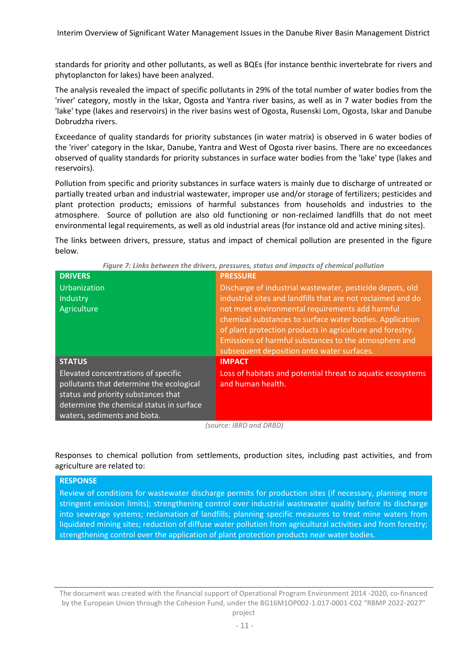standards for priority and other pollutants, as well as BQEs (for instance benthic invertebrate for rivers and phytoplancton for lakes) have been analyzed.

The analysis revealed the impact of specific pollutants in 29% of the total number of water bodies from the 'river' category, mostly in the Iskar, Ogosta and Yantra river basins, as well as in 7 water bodies from the 'lake' type (lakes and reservoirs) in the river basins west of Ogosta, Rusenski Lom, Ogosta, Iskar and Danube Dobrudzha rivers.

Exceedance of quality standards for priority substances (in water matrix) is observed in 6 water bodies of the 'river' category in the Iskar, Danube, Yantra and West of Ogosta river basins. There are no exceedances observed of quality standards for priority substances in surface water bodies from the 'lake' type (lakes and reservoirs).

Pollution from specific and priority substances in surface waters is mainly due to discharge of untreated or partially treated urban and industrial wastewater, improper use and/or storage of fertilizers; pesticides and plant protection products; emissions of harmful substances from households and industries to the atmosphere. Source of pollution are also old functioning or non-reclaimed landfills that do not meet environmental legal requirements, as well as old industrial areas (for instance old and active mining sites).

The links between drivers, pressure, status and impact of chemical pollution are presented in the figure below.

| <u>Figure 7. Links between the directs, pressures, status and impacts of chemical pointion</u>                                                                                                     |                                                                                                                                                                                                                                                                                                                                                                                                              |
|----------------------------------------------------------------------------------------------------------------------------------------------------------------------------------------------------|--------------------------------------------------------------------------------------------------------------------------------------------------------------------------------------------------------------------------------------------------------------------------------------------------------------------------------------------------------------------------------------------------------------|
| <b>DRIVERS</b>                                                                                                                                                                                     | <b>PRESSURE</b>                                                                                                                                                                                                                                                                                                                                                                                              |
| Urbanization<br>Industry<br>Agriculture                                                                                                                                                            | Discharge of industrial wastewater, pesticide depots, old<br>industrial sites and landfills that are not reclaimed and do<br>not meet environmental requirements add harmful<br>chemical substances to surface water bodies. Application<br>of plant protection products in agriculture and forestry.<br>Emissions of harmful substances to the atmosphere and<br>subsequent deposition onto water surfaces. |
| <b>STATUS</b>                                                                                                                                                                                      | <b>IMPACT</b>                                                                                                                                                                                                                                                                                                                                                                                                |
| Elevated concentrations of specific<br>pollutants that determine the ecological<br>status and priority substances that<br>determine the chemical status in surface<br>waters, sediments and biota. | Loss of habitats and potential threat to aquatic ecosystems<br>and human health.                                                                                                                                                                                                                                                                                                                             |

*Figure 7: Links between the drivers, pressures, status and impacts of chemical pollution* 

*(source: IBRD and DRBD)*

Responses to chemical pollution from settlements, production sites, including past activities, and from agriculture are related to:

#### **RESPONSE**

Review of conditions for wastewater discharge permits for production sites (if necessary, planning more stringent emission limits); strengthening control over industrial wastewater quality before its discharge into sewerage systems; reclamation of landfills; planning specific measures to treat mine waters from liquidated mining sites; reduction of diffuse water pollution from agricultural activities and from forestry; strengthening control over the application of plant protection products near water bodies.

The document was created with the financial support of Operational Program Environment 2014 -2020, co-financed by the European Union through the Cohesion Fund, under the BG16M1OP002-1.017-0001-C02 "RBMP 2022-2027"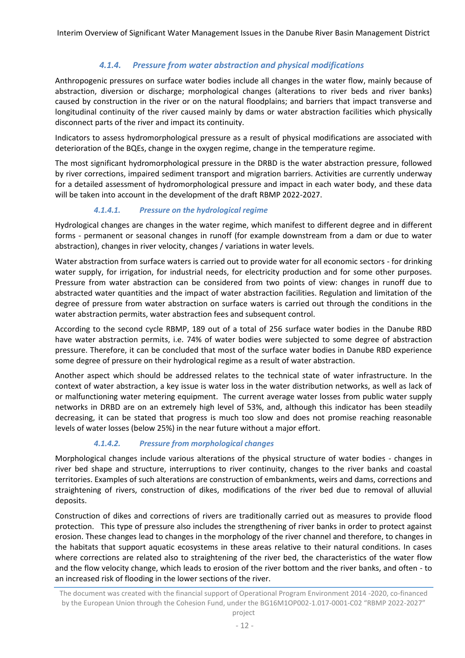## *4.1.4. Pressure from water abstraction and physical modifications*

Anthropogenic pressures on surface water bodies include all changes in the water flow, mainly because of abstraction, diversion or discharge; morphological changes (alterations to river beds and river banks) caused by construction in the river or on the natural floodplains; and barriers that impact transverse and longitudinal continuity of the river caused mainly by dams or water abstraction facilities which physically disconnect parts of the river and impact its continuity.

Indicators to assess hydromorphological pressure as a result of physical modifications are associated with deterioration of the BQEs, change in the oxygen regime, change in the temperature regime.

The most significant hydromorphological pressure in the DRBD is the water abstraction pressure, followed by river corrections, impaired sediment transport and migration barriers. Activities are currently underway for a detailed assessment of hydromorphological pressure and impact in each water body, and these data will be taken into account in the development of the draft RBMP 2022-2027.

## *4.1.4.1. Pressure on the hydrological regime*

Hydrological changes are changes in the water regime, which manifest to different degree and in different forms - permanent or seasonal changes in runoff (for example downstream from a dam or due to water abstraction), changes in river velocity, changes / variations in water levels.

Water abstraction from surface waters is carried out to provide water for all economic sectors - for drinking water supply, for irrigation, for industrial needs, for electricity production and for some other purposes. Pressure from water abstraction can be considered from two points of view: changes in runoff due to abstracted water quantities and the impact of water abstraction facilities. Regulation and limitation of the degree of pressure from water abstraction on surface waters is carried out through the conditions in the water abstraction permits, water abstraction fees and subsequent control.

According to the second cycle RBMP, 189 out of a total of 256 surface water bodies in the Danube RBD have water abstraction permits, i.e. 74% of water bodies were subjected to some degree of abstraction pressure. Therefore, it can be concluded that most of the surface water bodies in Danube RBD experience some degree of pressure on their hydrological regime as a result of water abstraction.

Another aspect which should be addressed relates to the technical state of water infrastructure. In the context of water abstraction, a key issue is water loss in the water distribution networks, as well as lack of or malfunctioning water metering equipment. The current average water losses from public water supply networks in DRBD are on an extremely high level of 53%, and, although this indicator has been steadily decreasing, it can be stated that progress is much too slow and does not promise reaching reasonable levels of water losses (below 25%) in the near future without a major effort.

#### *4.1.4.2. Pressure from morphological changes*

Morphological changes include various alterations of the physical structure of water bodies - changes in river bed shape and structure, interruptions to river continuity, changes to the river banks and coastal territories. Examples of such alterations are construction of embankments, weirs and dams, corrections and straightening of rivers, construction of dikes, modifications of the river bed due to removal of alluvial deposits.

Construction of dikes and corrections of rivers are traditionally carried out as measures to provide flood protection. This type of pressure also includes the strengthening of river banks in order to protect against erosion. These changes lead to changes in the morphology of the river channel and therefore, to changes in the habitats that support aquatic ecosystems in these areas relative to their natural conditions. In cases where corrections are related also to straightening of the river bed, the characteristics of the water flow and the flow velocity change, which leads to erosion of the river bottom and the river banks, and often - to an increased risk of flooding in the lower sections of the river.

The document was created with the financial support of Operational Program Environment 2014 -2020, co-financed by the European Union through the Cohesion Fund, under the BG16M1OP002-1.017-0001-C02 "RBMP 2022-2027"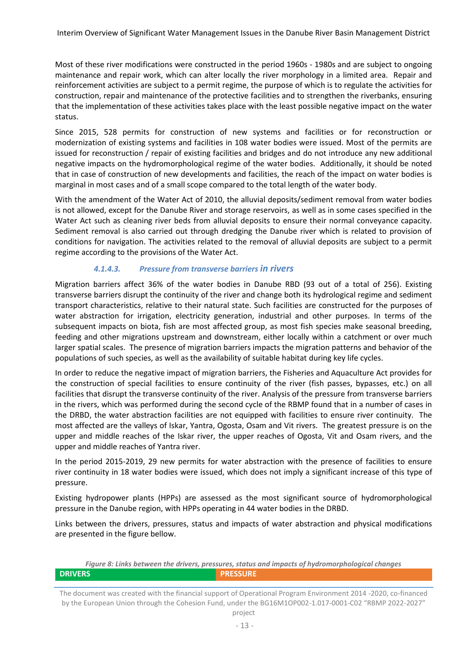Most of these river modifications were constructed in the period 1960s - 1980s and are subject to ongoing maintenance and repair work, which can alter locally the river morphology in a limited area. Repair and reinforcement activities are subject to a permit regime, the purpose of which is to regulate the activities for construction, repair and maintenance of the protective facilities and to strengthen the riverbanks, ensuring that the implementation of these activities takes place with the least possible negative impact on the water status.

Since 2015, 528 permits for construction of new systems and facilities or for reconstruction or modernization of existing systems and facilities in 108 water bodies were issued. Most of the permits are issued for reconstruction / repair of existing facilities and bridges and do not introduce any new additional negative impacts on the hydromorphological regime of the water bodies. Additionally, it should be noted that in case of construction of new developments and facilities, the reach of the impact on water bodies is marginal in most cases and of a small scope compared to the total length of the water body.

With the amendment of the Water Act of 2010, the alluvial deposits/sediment removal from water bodies is not allowed, except for the Danube River and storage reservoirs, as well as in some cases specified in the Water Act such as cleaning river beds from alluvial deposits to ensure their normal conveyance capacity. Sediment removal is also carried out through dredging the Danube river which is related to provision of conditions for navigation. The activities related to the removal of alluvial deposits are subject to a permit regime according to the provisions of the Water Act.

#### *4.1.4.3. Pressure from transverse barriers in rivers*

Migration barriers affect 36% of the water bodies in Danube RBD (93 out of a total of 256). Existing transverse barriers disrupt the continuity of the river and change both its hydrological regime and sediment transport characteristics, relative to their natural state. Such facilities are constructed for the purposes of water abstraction for irrigation, electricity generation, industrial and other purposes. In terms of the subsequent impacts on biota, fish are most affected group, as most fish species make seasonal breeding, feeding and other migrations upstream and downstream, either locally within a catchment or over much larger spatial scales. The presence of migration barriers impacts the migration patterns and behavior of the populations of such species, as well as the availability of suitable habitat during key life cycles.

In order to reduce the negative impact of migration barriers, the Fisheries and Aquaculture Act provides for the construction of special facilities to ensure continuity of the river (fish passes, bypasses, etc.) on all facilities that disrupt the transverse continuity of the river. Analysis of the pressure from transverse barriers in the rivers, which was performed during the second cycle of the RBMP found that in a number of cases in the DRBD, the water abstraction facilities are not equipped with facilities to ensure river continuity. The most affected are the valleys of Iskar, Yantra, Ogosta, Osam and Vit rivers. The greatest pressure is on the upper and middle reaches of the Iskar river, the upper reaches of Ogosta, Vit and Osam rivers, and the upper and middle reaches of Yantra river.

In the period 2015-2019, 29 new permits for water abstraction with the presence of facilities to ensure river continuity in 18 water bodies were issued, which does not imply a significant increase of this type of pressure.

Existing hydropower plants (HPPs) are assessed as the most significant source of hydromorphological pressure in the Danube region, with HPPs operating in 44 water bodies in the DRBD.

Links between the drivers, pressures, status and impacts of water abstraction and physical modifications are presented in the figure bellow.

#### *Figure 8: Links between the drivers, pressures, status and impacts of hydromorphological changes*  **DRIVERS PRESSURE**

The document was created with the financial support of Operational Program Environment 2014 -2020, co-financed by the European Union through the Cohesion Fund, under the BG16M1OP002-1.017-0001-C02 "RBMP 2022-2027"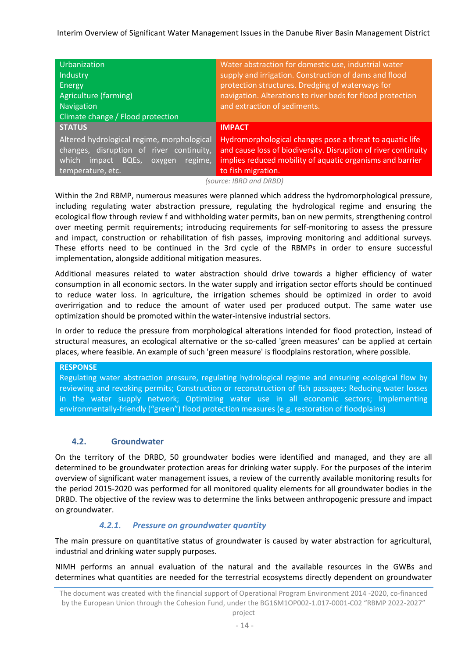| <b>Urbanization</b><br>Industry                                                                                                                              | Water abstraction for domestic use, industrial water<br>supply and irrigation. Construction of dams and flood                                                                                                 |
|--------------------------------------------------------------------------------------------------------------------------------------------------------------|---------------------------------------------------------------------------------------------------------------------------------------------------------------------------------------------------------------|
| <b>Energy</b>                                                                                                                                                | protection structures. Dredging of waterways for                                                                                                                                                              |
| Agriculture (farming)                                                                                                                                        | navigation. Alterations to river beds for flood protection                                                                                                                                                    |
| Navigation                                                                                                                                                   | and extraction of sediments.                                                                                                                                                                                  |
| Climate change / Flood protection                                                                                                                            |                                                                                                                                                                                                               |
| <b>STATUS</b>                                                                                                                                                | <b>IMPACT</b>                                                                                                                                                                                                 |
| Altered hydrological regime, morphological<br>changes, disruption of river continuity,<br>which<br>BQEs,<br>regime,<br>impact<br>oxygen<br>temperature, etc. | Hydromorphological changes pose a threat to aquatic life<br>and cause loss of biodiversity. Disruption of river continuity<br>implies reduced mobility of aquatic organisms and barrier<br>to fish migration. |

*(source: IBRD and DRBD)*

Within the 2nd RBMP, numerous measures were planned which address the hydromorphological pressure, including regulating water abstraction pressure, regulating the hydrological regime and ensuring the ecological flow through review f and withholding water permits, ban on new permits, strengthening control over meeting permit requirements; introducing requirements for self-monitoring to assess the pressure and impact, construction or rehabilitation of fish passes, improving monitoring and additional surveys. These efforts need to be continued in the 3rd cycle of the RBMPs in order to ensure successful implementation, alongside additional mitigation measures.

Additional measures related to water abstraction should drive towards a higher efficiency of water consumption in all economic sectors. In the water supply and irrigation sector efforts should be continued to reduce water loss. In agriculture, the irrigation schemes should be optimized in order to avoid overirrigation and to reduce the amount of water used per produced output. The same water use optimization should be promoted within the water-intensive industrial sectors.

In order to reduce the pressure from morphological alterations intended for flood protection, instead of structural measures, an ecological alternative or the so-called 'green measures' can be applied at certain places, where feasible. An example of such 'green measure' is floodplains restoration, where possible.

**RESPONSE**

Regulating water abstraction pressure, regulating hydrological regime and ensuring ecological flow by reviewing and revoking permits; Construction or reconstruction of fish passages; Reducing water losses in the water supply network; Optimizing water use in all economic sectors; Implementing environmentally-friendly ("green") flood protection measures (e.g. restoration of floodplains)

## **4.2. Groundwater**

On the territory of the DRBD, 50 groundwater bodies were identified and managed, and they are all determined to be groundwater protection areas for drinking water supply. For the purposes of the interim overview of significant water management issues, a review of the currently available monitoring results for the period 2015-2020 was performed for all monitored quality elements for all groundwater bodies in the DRBD. The objective of the review was to determine the links between anthropogenic pressure and impact on groundwater.

#### *4.2.1. Pressure on groundwater quantity*

The main pressure on quantitative status of groundwater is caused by water abstraction for agricultural, industrial and drinking water supply purposes.

NIMH performs an annual evaluation of the natural and the available resources in the GWBs and determines what quantities are needed for the terrestrial ecosystems directly dependent on groundwater

project

The document was created with the financial support of Operational Program Environment 2014 -2020, co-financed by the European Union through the Cohesion Fund, under the BG16M1OP002-1.017-0001-C02 "RBMP 2022-2027"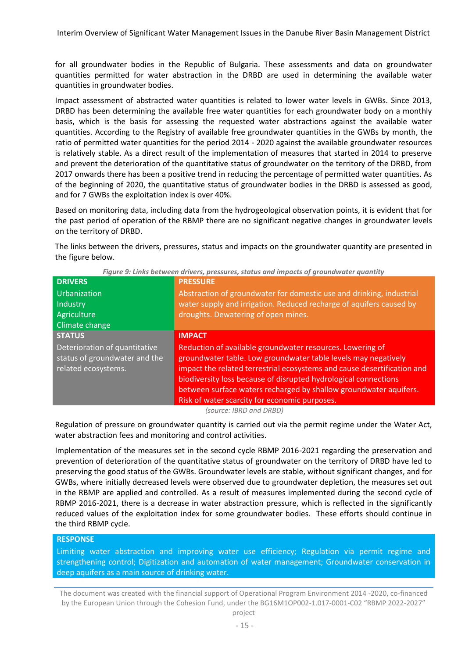for all groundwater bodies in the Republic of Bulgaria. These assessments and data on groundwater quantities permitted for water abstraction in the DRBD are used in determining the available water quantities in groundwater bodies.

Impact assessment of abstracted water quantities is related to lower water levels in GWBs. Since 2013, DRBD has been determining the available free water quantities for each groundwater body on a monthly basis, which is the basis for assessing the requested water abstractions against the available water quantities. According to the Registry of available free groundwater quantities in the GWBs by month, the ratio of permitted water quantities for the period 2014 - 2020 against the available groundwater resources is relatively stable. As a direct result of the implementation of measures that started in 2014 to preserve and prevent the deterioration of the quantitative status of groundwater on the territory of the DRBD, from 2017 onwards there has been a positive trend in reducing the percentage of permitted water quantities. As of the beginning of 2020, the quantitative status of groundwater bodies in the DRBD is assessed as good, and for 7 GWBs the exploitation index is over 40%.

Based on monitoring data, including data from the hydrogeological observation points, it is evident that for the past period of operation of the RBMP there are no significant negative changes in groundwater levels on the territory of DRBD.

The links between the drivers, pressures, status and impacts on the groundwater quantity are presented in the figure below.

| Abstraction of groundwater for domestic use and drinking, industrial                                                                                                                                                                                                                                                                                                                            |
|-------------------------------------------------------------------------------------------------------------------------------------------------------------------------------------------------------------------------------------------------------------------------------------------------------------------------------------------------------------------------------------------------|
| water supply and irrigation. Reduced recharge of aquifers caused by                                                                                                                                                                                                                                                                                                                             |
| droughts. Dewatering of open mines.                                                                                                                                                                                                                                                                                                                                                             |
|                                                                                                                                                                                                                                                                                                                                                                                                 |
|                                                                                                                                                                                                                                                                                                                                                                                                 |
| Reduction of available groundwater resources. Lowering of<br>groundwater table. Low groundwater table levels may negatively<br>impact the related terrestrial ecosystems and cause desertification and<br>biodiversity loss because of disrupted hydrological connections<br>between surface waters recharged by shallow groundwater aquifers.<br>Risk of water scarcity for economic purposes. |
|                                                                                                                                                                                                                                                                                                                                                                                                 |

*Figure 9: Links between drivers, pressures, status and impacts of groundwater quantity* 

*(source: IBRD and DRBD)*

Regulation of pressure on groundwater quantity is carried out via the permit regime under the Water Act, water abstraction fees and monitoring and control activities.

Implementation of the measures set in the second cycle RBMP 2016-2021 regarding the preservation and prevention of deterioration of the quantitative status of groundwater on the territory of DRBD have led to preserving the good status of the GWBs. Groundwater levels are stable, without significant changes, and for GWBs, where initially decreased levels were observed due to groundwater depletion, the measures set out in the RBMP are applied and controlled. As a result of measures implemented during the second cycle of RBMP 2016-2021, there is a decrease in water abstraction pressure, which is reflected in the significantly reduced values of the exploitation index for some groundwater bodies. These efforts should continue in the third RBMP cycle.

#### **RESPONSE**

Limiting water abstraction and improving water use efficiency; Regulation via permit regime and strengthening control; Digitization and automation of water management; Groundwater conservation in deep aquifers as a main source of drinking water.

The document was created with the financial support of Operational Program Environment 2014 -2020, co-financed by the European Union through the Cohesion Fund, under the BG16M1OP002-1.017-0001-C02 "RBMP 2022-2027"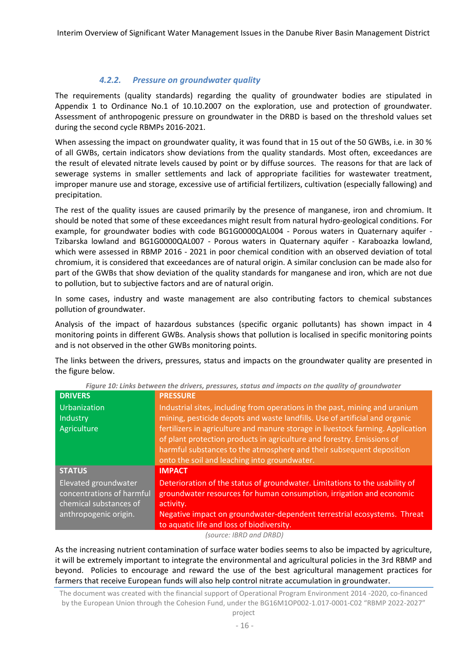## *4.2.2. Pressure on groundwater quality*

The requirements (quality standards) regarding the quality of groundwater bodies are stipulated in Appendix 1 to Ordinance No.1 of 10.10.2007 on the exploration, use and protection of groundwater. Assessment of anthropogenic pressure on groundwater in the DRBD is based on the threshold values set during the second cycle RBMPs 2016-2021.

When assessing the impact on groundwater quality, it was found that in 15 out of the 50 GWBs, i.e. in 30 % of all GWBs, certain indicators show deviations from the quality standards. Most often, exceedances are the result of elevated nitrate levels caused by point or by diffuse sources. The reasons for that are lack of sewerage systems in smaller settlements and lack of appropriate facilities for wastewater treatment, improper manure use and storage, excessive use of artificial fertilizers, cultivation (especially fallowing) and precipitation.

The rest of the quality issues are caused primarily by the presence of manganese, iron and chromium. It should be noted that some of these exceedances might result from natural hydro-geological conditions. For example, for groundwater bodies with code BG1G0000QAL004 - Porous waters in Quaternary aquifer - Tzibarska lowland and BG1G0000QAL007 - Porous waters in Quaternary aquifer - Karaboazka lowland, which were assessed in RBMP 2016 - 2021 in poor chemical condition with an observed deviation of total chromium, it is considered that exceedances are of natural origin. A similar conclusion can be made also for part of the GWBs that show deviation of the quality standards for manganese and iron, which are not due to pollution, but to subjective factors and are of natural origin.

In some cases, industry and waste management are also contributing factors to chemical substances pollution of groundwater.

Analysis of the impact of hazardous substances (specific organic pollutants) has shown impact in 4 monitoring points in different GWBs. Analysis shows that pollution is localised in specific monitoring points and is not observed in the other GWBs monitoring points.

The links between the drivers, pressures, status and impacts on the groundwater quality are presented in the figure below.

| <b>DRIVERS</b>            |                                                                                 |
|---------------------------|---------------------------------------------------------------------------------|
|                           | <b>PRESSURE</b>                                                                 |
| Urbanization              | Industrial sites, including from operations in the past, mining and uranium     |
| Industry                  | mining, pesticide depots and waste landfills. Use of artificial and organic     |
| Agriculture               | fertilizers in agriculture and manure storage in livestock farming. Application |
|                           | of plant protection products in agriculture and forestry. Emissions of          |
|                           | harmful substances to the atmosphere and their subsequent deposition            |
|                           | onto the soil and leaching into groundwater.                                    |
| <b>STATUS</b>             | <b>IMPACT</b>                                                                   |
| Elevated groundwater      | Deterioration of the status of groundwater. Limitations to the usability of     |
| concentrations of harmful | groundwater resources for human consumption, irrigation and economic            |
| chemical substances of    | activity.                                                                       |
| anthropogenic origin.     | Negative impact on groundwater-dependent terrestrial ecosystems. Threat         |
|                           | to aquatic life and loss of biodiversity.                                       |

*Figure 10: Links between the drivers, pressures, status and impacts on the quality of groundwater* 

*(source: IBRD and DRBD)*

As the increasing nutrient contamination of surface water bodies seems to also be impacted by agriculture, it will be extremely important to integrate the environmental and agricultural policies in the 3rd RBMP and beyond. Policies to encourage and reward the use of the best agricultural management practices for farmers that receive European funds will also help control nitrate accumulation in groundwater.

The document was created with the financial support of Operational Program Environment 2014 -2020, co-financed by the European Union through the Cohesion Fund, under the BG16M1OP002-1.017-0001-C02 "RBMP 2022-2027"

project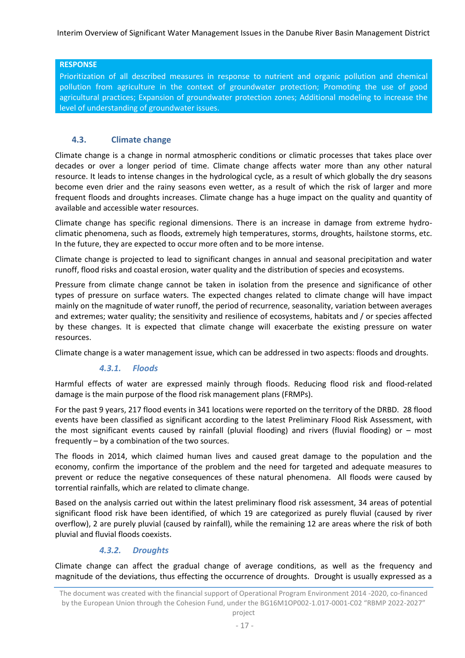#### **RESPONSE**

Prioritization of all described measures in response to nutrient and organic pollution and chemical pollution from agriculture in the context of groundwater protection; Promoting the use of good agricultural practices; Expansion of groundwater protection zones; Additional modeling to increase the level of understanding of groundwater issues.

## **4.3. Climate change**

Climate change is a change in normal atmospheric conditions or climatic processes that takes place over decades or over a longer period of time. Climate change affects water more than any other natural resource. It leads to intense changes in the hydrological cycle, as a result of which globally the dry seasons become even drier and the rainy seasons even wetter, as a result of which the risk of larger and more frequent floods and droughts increases. Climate change has a huge impact on the quality and quantity of available and accessible water resources.

Climate change has specific regional dimensions. There is an increase in damage from extreme hydroclimatic phenomena, such as floods, extremely high temperatures, storms, droughts, hailstone storms, etc. In the future, they are expected to occur more often and to be more intense.

Climate change is projected to lead to significant changes in annual and seasonal precipitation and water runoff, flood risks and coastal erosion, water quality and the distribution of species and ecosystems.

Pressure from climate change cannot be taken in isolation from the presence and significance of other types of pressure on surface waters. The expected changes related to climate change will have impact mainly on the magnitude of water runoff, the period of recurrence, seasonality, variation between averages and extremes; water quality; the sensitivity and resilience of ecosystems, habitats and / or species affected by these changes. It is expected that climate change will exacerbate the existing pressure on water resources.

Climate change is a water management issue, which can be addressed in two aspects: floods and droughts.

## *4.3.1. Floods*

Harmful effects of water are expressed mainly through floods. Reducing flood risk and flood-related damage is the main purpose of the flood risk management plans (FRMPs).

For the past 9 years, 217 flood events in 341 locations were reported on the territory of the DRBD. 28 flood events have been classified as significant according to the latest Preliminary Flood Risk Assessment, with the most significant events caused by rainfall (pluvial flooding) and rivers (fluvial flooding) or – most frequently – by a combination of the two sources.

The floods in 2014, which claimed human lives and caused great damage to the population and the economy, confirm the importance of the problem and the need for targeted and adequate measures to prevent or reduce the negative consequences of these natural phenomena. All floods were caused by torrential rainfalls, which are related to climate change.

Based on the analysis carried out within the latest preliminary flood risk assessment, 34 areas of potential significant flood risk have been identified, of which 19 are categorized as purely fluvial (caused by river overflow), 2 are purely pluvial (caused by rainfall), while the remaining 12 are areas where the risk of both pluvial and fluvial floods coexists.

#### *4.3.2. Droughts*

Climate change can affect the gradual change of average conditions, as well as the frequency and magnitude of the deviations, thus effecting the occurrence of droughts. Drought is usually expressed as a

The document was created with the financial support of Operational Program Environment 2014 -2020, co-financed by the European Union through the Cohesion Fund, under the BG16M1OP002-1.017-0001-C02 "RBMP 2022-2027"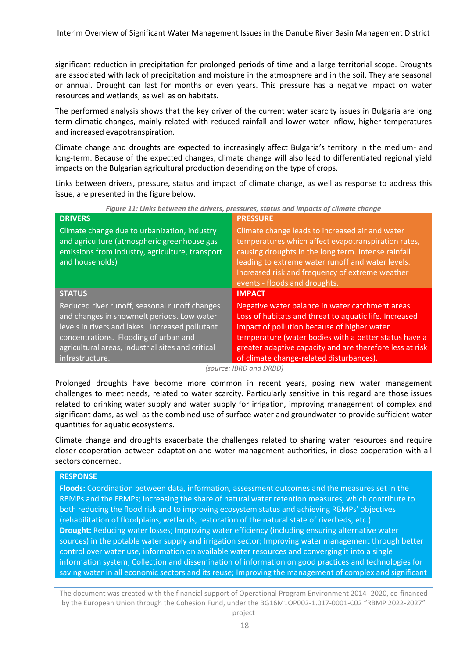significant reduction in precipitation for prolonged periods of time and a large territorial scope. Droughts are associated with lack of precipitation and moisture in the atmosphere and in the soil. They are seasonal or annual. Drought can last for months or even years. This pressure has a negative impact on water resources and wetlands, as well as on habitats.

The performed analysis shows that the key driver of the current water scarcity issues in Bulgaria are long term climatic changes, mainly related with reduced rainfall and lower water inflow, higher temperatures and increased evapotranspiration.

Climate change and droughts are expected to increasingly affect Bulgaria's territory in the medium- and long-term. Because of the expected changes, climate change will also lead to differentiated regional yield impacts on the Bulgarian agricultural production depending on the type of crops.

Links between drivers, pressure, status and impact of climate change, as well as response to address this issue, are presented in the figure below.

| <b>Figure 11. Links between the arivers, pressures, status and impacts of chinate change</b>                                                                                                                                                                    |                                                                                                                                                                                                                                                                                                                            |  |
|-----------------------------------------------------------------------------------------------------------------------------------------------------------------------------------------------------------------------------------------------------------------|----------------------------------------------------------------------------------------------------------------------------------------------------------------------------------------------------------------------------------------------------------------------------------------------------------------------------|--|
| <b>DRIVERS</b>                                                                                                                                                                                                                                                  | <b>PRESSURE</b>                                                                                                                                                                                                                                                                                                            |  |
| Climate change due to urbanization, industry<br>and agriculture (atmospheric greenhouse gas<br>emissions from industry, agriculture, transport<br>and households)                                                                                               | Climate change leads to increased air and water<br>temperatures which affect evapotranspiration rates,<br>causing droughts in the long term. Intense rainfall<br>leading to extreme water runoff and water levels.<br>Increased risk and frequency of extreme weather<br>events - floods and droughts.                     |  |
| <b>STATUS</b>                                                                                                                                                                                                                                                   | <b>IMPACT</b>                                                                                                                                                                                                                                                                                                              |  |
|                                                                                                                                                                                                                                                                 |                                                                                                                                                                                                                                                                                                                            |  |
| Reduced river runoff, seasonal runoff changes<br>and changes in snowmelt periods. Low water<br>levels in rivers and lakes. Increased pollutant<br>concentrations. Flooding of urban and<br>agricultural areas, industrial sites and critical<br>infrastructure. | Negative water balance in water catchment areas.<br>Loss of habitats and threat to aquatic life. Increased<br>impact of pollution because of higher water<br>temperature (water bodies with a better status have a<br>greater adaptive capacity and are therefore less at risk<br>of climate change-related disturbances). |  |

*Figure 11: Links between the drivers, pressures, status and impacts of climate change* 

*(source: IBRD and DRBD)*

Prolonged droughts have become more common in recent years, posing new water management challenges to meet needs, related to water scarcity. Particularly sensitive in this regard are those issues related to drinking water supply and water supply for irrigation, improving management of complex and significant dams, as well as the combined use of surface water and groundwater to provide sufficient water quantities for aquatic ecosystems.

Climate change and droughts exacerbate the challenges related to sharing water resources and require closer cooperation between adaptation and water management authorities, in close cooperation with all sectors concerned.

#### **RESPONSE**

**Floods:** Coordination between data, information, assessment outcomes and the measures set in the RBMPs and the FRMPs; Increasing the share of natural water retention measures, which contribute to both reducing the flood risk and to improving ecosystem status and achieving RBMPs' objectives (rehabilitation of floodplains, wetlands, restoration of the natural state of riverbeds, etc.). **Drought:** Reducing water losses; Improving water efficiency (including ensuring alternative water sources) in the potable water supply and irrigation sector; Improving water management through better control over water use, information on available water resources and converging it into a single information system; Collection and dissemination of information on good practices and technologies for saving water in all economic sectors and its reuse; Improving the management of complex and significant

The document was created with the financial support of Operational Program Environment 2014 -2020, co-financed by the European Union through the Cohesion Fund, under the BG16M1OP002-1.017-0001-C02 "RBMP 2022-2027"

project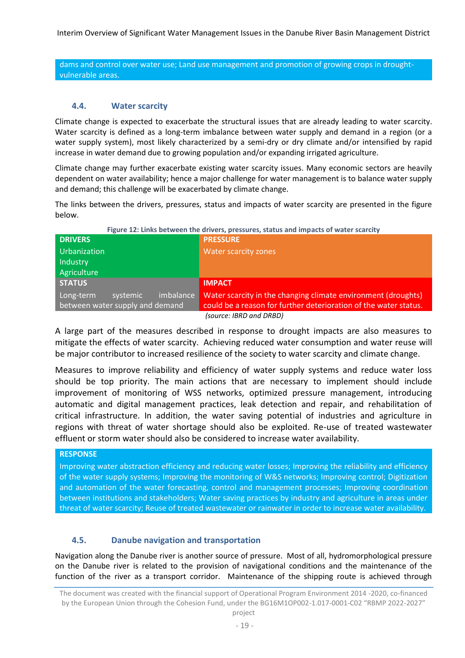dams and control over water use; Land use management and promotion of growing crops in droughtvulnerable areas.

#### **4.4. Water scarcity**

Climate change is expected to exacerbate the structural issues that are already leading to water scarcity. Water scarcity is defined as a long-term imbalance between water supply and demand in a region (or a water supply system), most likely characterized by a semi-dry or dry climate and/or intensified by rapid increase in water demand due to growing population and/or expanding irrigated agriculture.

Climate change may further exacerbate existing water scarcity issues. Many economic sectors are heavily dependent on water availability; hence a major challenge for water management is to balance water supply and demand; this challenge will be exacerbated by climate change.

The links between the drivers, pressures, status and impacts of water scarcity are presented in the figure below.

| <b>DRIVERS</b>                     | <b>PRESSURE</b>                                                  |
|------------------------------------|------------------------------------------------------------------|
| Urbanization                       | Water scarcity zones                                             |
| Industry                           |                                                                  |
| Agriculture                        |                                                                  |
| STATUS                             | <b>IMPACT</b>                                                    |
| imbalance<br>Long-term<br>systemic | Water scarcity in the changing climate environment (droughts)    |
| between water supply and demand    | could be a reason for further deterioration of the water status. |
|                                    | (source: IBRD and DRBD)                                          |

**Figure 12: Links between the drivers, pressures, status and impacts of water scarcity** 

A large part of the measures described in response to drought impacts are also measures to mitigate the effects of water scarcity. Achieving reduced water consumption and water reuse will be major contributor to increased resilience of the society to water scarcity and climate change.

Measures to improve reliability and efficiency of water supply systems and reduce water loss should be top priority. The main actions that are necessary to implement should include improvement of monitoring of WSS networks, optimized pressure management, introducing automatic and digital management practices, leak detection and repair, and rehabilitation of critical infrastructure. In addition, the water saving potential of industries and agriculture in regions with threat of water shortage should also be exploited. Re-use of treated wastewater effluent or storm water should also be considered to increase water availability.

#### **RESPONSE**

Improving water abstraction efficiency and reducing water losses; Improving the reliability and efficiency of the water supply systems; Improving the monitoring of W&S networks; Improving control; Digitization and automation of the water forecasting, control and management processes; Improving coordination between institutions and stakeholders; Water saving practices by industry and agriculture in areas under threat of water scarcity; Reuse of treated wastewater or rainwater in order to increase water availability.

#### **4.5. Danube navigation and transportation**

Navigation along the Danube river is another source of pressure. Most of all, hydromorphological pressure on the Danube river is related to the provision of navigational conditions and the maintenance of the function of the river as a transport corridor. Maintenance of the shipping route is achieved through

project

The document was created with the financial support of Operational Program Environment 2014 -2020, co-financed by the European Union through the Cohesion Fund, under the BG16M1OP002-1.017-0001-C02 "RBMP 2022-2027"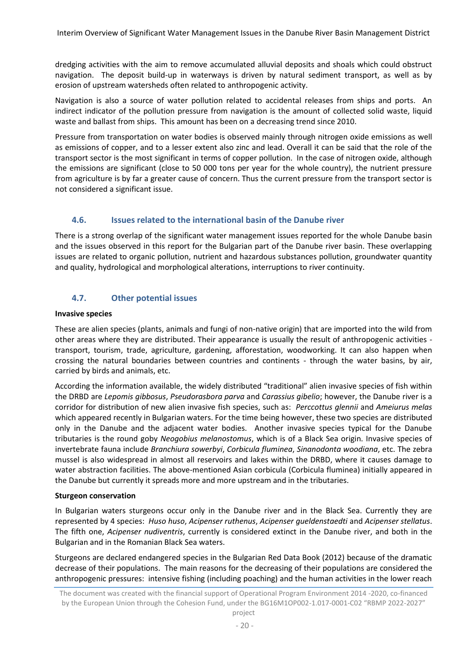dredging activities with the aim to remove accumulated alluvial deposits and shoals which could obstruct navigation. The deposit build-up in waterways is driven by natural sediment transport, as well as by erosion of upstream watersheds often related to anthropogenic activity.

Navigation is also a source of water pollution related to accidental releases from ships and ports. An indirect indicator of the pollution pressure from navigation is the amount of collected solid waste, liquid waste and ballast from ships. This amount has been on a decreasing trend since 2010.

Pressure from transportation on water bodies is observed mainly through nitrogen oxide emissions as well as emissions of copper, and to a lesser extent also zinc and lead. Overall it can be said that the role of the transport sector is the most significant in terms of copper pollution. In the case of nitrogen oxide, although the emissions are significant (close to 50 000 tons per year for the whole country), the nutrient pressure from agriculture is by far a greater cause of concern. Thus the current pressure from the transport sector is not considered a significant issue.

# **4.6. Issues related to the international basin of the Danube river**

There is a strong overlap of the significant water management issues reported for the whole Danube basin and the issues observed in this report for the Bulgarian part of the Danube river basin. These overlapping issues are related to organic pollution, nutrient and hazardous substances pollution, groundwater quantity and quality, hydrological and morphological alterations, interruptions to river continuity.

# **4.7. Other potential issues**

#### **Invasive species**

These are alien species (plants, animals and fungi of non-native origin) that are imported into the wild from other areas where they are distributed. Their appearance is usually the result of anthropogenic activities transport, tourism, trade, agriculture, gardening, afforestation, woodworking. It can also happen when crossing the natural boundaries between countries and continents - through the water basins, by air, carried by birds and animals, etc.

According the information available, the widely distributed "traditional" alien invasive species of fish within the DRBD are *Lepomis gibbosus*, *Pseudorasbora parva* and *Carassius gibelio*; however, the Danube river is a corridor for distribution of new alien invasive fish species, such as: *Perccottus glennii* and *Ameiurus melas* which appeared recently in Bulgarian waters. For the time being however, these two species are distributed only in the Danube and the adjacent water bodies. Another invasive species typical for the Danube tributaries is the round goby *Neogobius melanostomus*, which is of a Black Sea origin. Invasive species of invertebrate fauna include *Branchiura sowerbyi*, *Corbicula fluminea*, *Sinanodonta woodiana*, etc. The zebra mussel is also widespread in almost all reservoirs and lakes within the DRBD, where it causes damage to water abstraction facilities. The above-mentioned Asian corbicula (Corbicula fluminea) initially appeared in the Danube but currently it spreads more and more upstream and in the tributaries.

#### **Sturgeon conservation**

In Bulgarian waters sturgeons occur only in the Danube river and in the Black Sea. Currently they are represented by 4 species: *Huso huso*, *Acipenser ruthenus*, *Acipenser gueldenstaedti* and *Acipenser stellatus*. The fifth one, *Acipenser nudiventris*, currently is considered extinct in the Danube river, and both in the Bulgarian and in the Romanian Black Sea waters.

Sturgeons are declared endangered species in the Bulgarian Red Data Book (2012) because of the dramatic decrease of their populations. The main reasons for the decreasing of their populations are considered the anthropogenic pressures: intensive fishing (including poaching) and the human activities in the lower reach

The document was created with the financial support of Operational Program Environment 2014 -2020, co-financed by the European Union through the Cohesion Fund, under the BG16M1OP002-1.017-0001-C02 "RBMP 2022-2027"